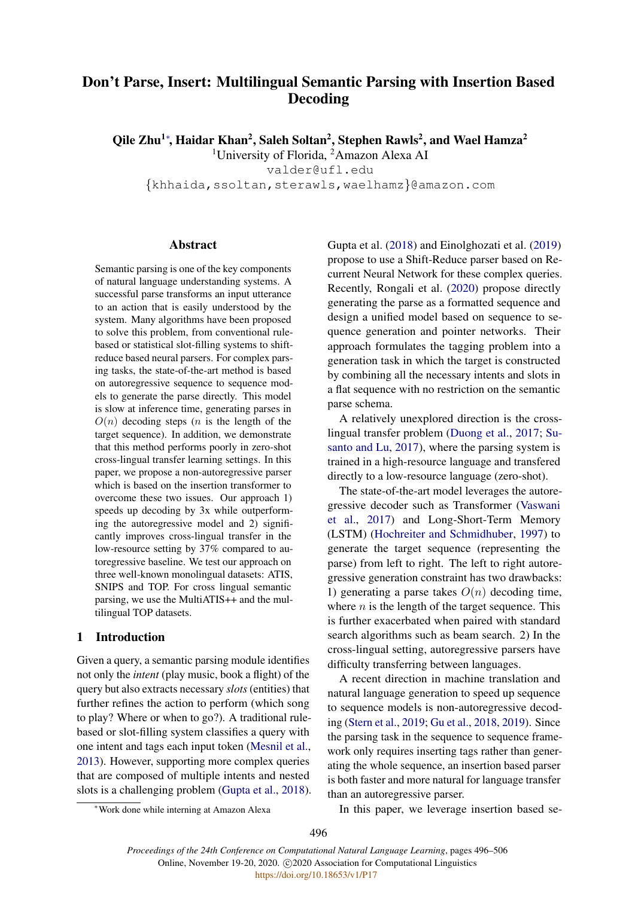# Don't Parse, Insert: Multilingual Semantic Parsing with Insertion Based Decoding

Qile Zhu<sup>1</sup>\*, Haidar Khan<sup>2</sup>, Saleh Soltan<sup>2</sup>, Stephen Rawls<sup>2</sup>, and Wael Hamza<sup>2</sup>

<sup>1</sup>University of Florida, <sup>2</sup>Amazon Alexa AI

valder@ufl.edu

{khhaida,ssoltan,sterawls,waelhamz}@amazon.com

# Abstract

Semantic parsing is one of the key components of natural language understanding systems. A successful parse transforms an input utterance to an action that is easily understood by the system. Many algorithms have been proposed to solve this problem, from conventional rulebased or statistical slot-filling systems to shiftreduce based neural parsers. For complex parsing tasks, the state-of-the-art method is based on autoregressive sequence to sequence models to generate the parse directly. This model is slow at inference time, generating parses in  $O(n)$  decoding steps (*n* is the length of the target sequence). In addition, we demonstrate that this method performs poorly in zero-shot cross-lingual transfer learning settings. In this paper, we propose a non-autoregressive parser which is based on the insertion transformer to overcome these two issues. Our approach 1) speeds up decoding by 3x while outperforming the autoregressive model and 2) significantly improves cross-lingual transfer in the low-resource setting by 37% compared to autoregressive baseline. We test our approach on three well-known monolingual datasets: ATIS, SNIPS and TOP. For cross lingual semantic parsing, we use the MultiATIS++ and the multilingual TOP datasets.

# 1 Introduction

Given a query, a semantic parsing module identifies not only the *intent* (play music, book a flight) of the query but also extracts necessary *slots* (entities) that further refines the action to perform (which song to play? Where or when to go?). A traditional rulebased or slot-filling system classifies a query with one intent and tags each input token [\(Mesnil et al.,](#page-9-0) [2013\)](#page-9-0). However, supporting more complex queries that are composed of multiple intents and nested slots is a challenging problem [\(Gupta et al.,](#page-9-1) [2018\)](#page-9-1).

Gupta et al. [\(2018\)](#page-9-1) and Einolghozati et al. [\(2019\)](#page-9-2) propose to use a Shift-Reduce parser based on Recurrent Neural Network for these complex queries. Recently, Rongali et al. [\(2020\)](#page-9-3) propose directly generating the parse as a formatted sequence and design a unified model based on sequence to sequence generation and pointer networks. Their approach formulates the tagging problem into a generation task in which the target is constructed by combining all the necessary intents and slots in a flat sequence with no restriction on the semantic parse schema.

A relatively unexplored direction is the crosslingual transfer problem [\(Duong et al.,](#page-9-4) [2017;](#page-9-4) [Su](#page-10-0)[santo and Lu,](#page-10-0) [2017\)](#page-10-0), where the parsing system is trained in a high-resource language and transfered directly to a low-resource language (zero-shot).

The state-of-the-art model leverages the autoregressive decoder such as Transformer [\(Vaswani](#page-10-1) [et al.,](#page-10-1) [2017\)](#page-10-1) and Long-Short-Term Memory (LSTM) [\(Hochreiter and Schmidhuber,](#page-9-5) [1997\)](#page-9-5) to generate the target sequence (representing the parse) from left to right. The left to right autoregressive generation constraint has two drawbacks: 1) generating a parse takes  $O(n)$  decoding time, where  $n$  is the length of the target sequence. This is further exacerbated when paired with standard search algorithms such as beam search. 2) In the cross-lingual setting, autoregressive parsers have difficulty transferring between languages.

A recent direction in machine translation and natural language generation to speed up sequence to sequence models is non-autoregressive decoding [\(Stern et al.,](#page-10-2) [2019;](#page-10-2) [Gu et al.,](#page-9-6) [2018,](#page-9-6) [2019\)](#page-9-7). Since the parsing task in the sequence to sequence framework only requires inserting tags rather than generating the whole sequence, an insertion based parser is both faster and more natural for language transfer than an autoregressive parser.

In this paper, we leverage insertion based se-

<sup>∗</sup>Work done while interning at Amazon Alexa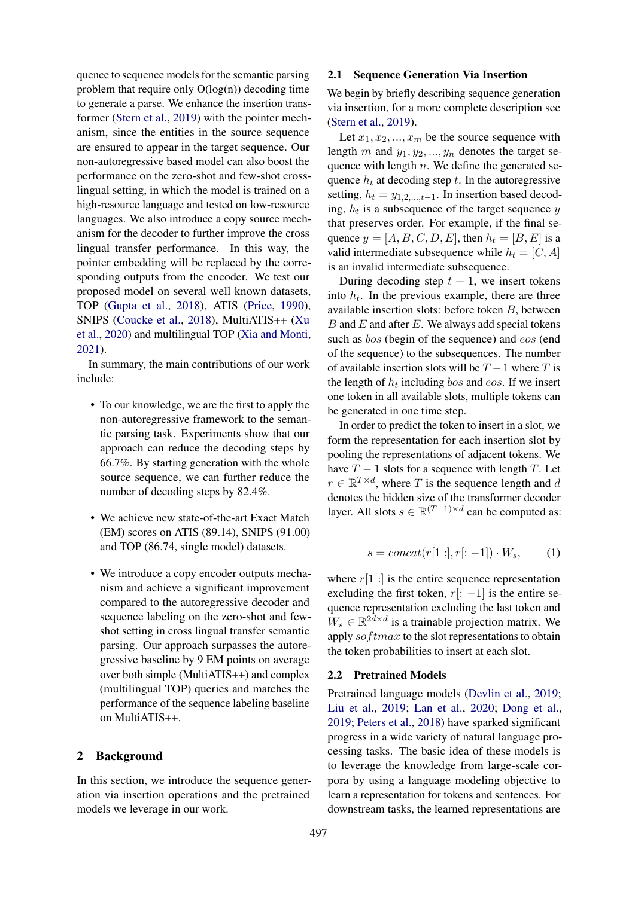quence to sequence models for the semantic parsing problem that require only  $O(log(n))$  decoding time to generate a parse. We enhance the insertion transformer [\(Stern et al.,](#page-10-2) [2019\)](#page-10-2) with the pointer mechanism, since the entities in the source sequence are ensured to appear in the target sequence. Our non-autoregressive based model can also boost the performance on the zero-shot and few-shot crosslingual setting, in which the model is trained on a high-resource language and tested on low-resource languages. We also introduce a copy source mechanism for the decoder to further improve the cross lingual transfer performance. In this way, the pointer embedding will be replaced by the corresponding outputs from the encoder. We test our proposed model on several well known datasets, TOP [\(Gupta et al.,](#page-9-1) [2018\)](#page-9-1), ATIS [\(Price,](#page-9-8) [1990\)](#page-9-8), SNIPS [\(Coucke et al.,](#page-8-0) [2018\)](#page-8-0), MultiATIS++ [\(Xu](#page-10-3) [et al.,](#page-10-3) [2020\)](#page-10-3) and multilingual TOP [\(Xia and Monti,](#page-10-4) [2021\)](#page-10-4).

In summary, the main contributions of our work include:

- To our knowledge, we are the first to apply the non-autoregressive framework to the semantic parsing task. Experiments show that our approach can reduce the decoding steps by 66.7%. By starting generation with the whole source sequence, we can further reduce the number of decoding steps by 82.4%.
- We achieve new state-of-the-art Exact Match (EM) scores on ATIS (89.14), SNIPS (91.00) and TOP (86.74, single model) datasets.
- We introduce a copy encoder outputs mechanism and achieve a significant improvement compared to the autoregressive decoder and sequence labeling on the zero-shot and fewshot setting in cross lingual transfer semantic parsing. Our approach surpasses the autoregressive baseline by 9 EM points on average over both simple (MultiATIS++) and complex (multilingual TOP) queries and matches the performance of the sequence labeling baseline on MultiATIS++.

# 2 Background

In this section, we introduce the sequence generation via insertion operations and the pretrained models we leverage in our work.

## 2.1 Sequence Generation Via Insertion

We begin by briefly describing sequence generation via insertion, for a more complete description see [\(Stern et al.,](#page-10-2) [2019\)](#page-10-2).

Let  $x_1, x_2, ..., x_m$  be the source sequence with length m and  $y_1, y_2, ..., y_n$  denotes the target sequence with length  $n$ . We define the generated sequence  $h_t$  at decoding step t. In the autoregressive setting,  $h_t = y_{1,2,\dots,t-1}$ . In insertion based decoding,  $h_t$  is a subsequence of the target sequence y that preserves order. For example, if the final sequence  $y = [A, B, C, D, E]$ , then  $h_t = [B, E]$  is a valid intermediate subsequence while  $h_t = [C, A]$ is an invalid intermediate subsequence.

During decoding step  $t + 1$ , we insert tokens into  $h_t$ . In the previous example, there are three available insertion slots: before token B, between  $B$  and  $E$  and after  $E$ . We always add special tokens such as *bos* (begin of the sequence) and *eos* (end of the sequence) to the subsequences. The number of available insertion slots will be  $T - 1$  where T is the length of  $h_t$  including bos and eos. If we insert one token in all available slots, multiple tokens can be generated in one time step.

In order to predict the token to insert in a slot, we form the representation for each insertion slot by pooling the representations of adjacent tokens. We have  $T - 1$  slots for a sequence with length T. Let  $r \in \mathbb{R}^{T \times d}$ , where T is the sequence length and d denotes the hidden size of the transformer decoder layer. All slots  $s \in \mathbb{R}^{(T-1) \times d}$  can be computed as:

$$
s = concat(r[1:], r[:-1]) \cdot W_s, \qquad (1)
$$

where  $r[1:]$  is the entire sequence representation excluding the first token,  $r[: -1]$  is the entire sequence representation excluding the last token and  $W_s \in \mathbb{R}^{2d \times d}$  is a trainable projection matrix. We apply so  $ftmax$  to the slot representations to obtain the token probabilities to insert at each slot.

#### 2.2 Pretrained Models

Pretrained language models [\(Devlin et al.,](#page-8-1) [2019;](#page-8-1) [Liu et al.,](#page-9-9) [2019;](#page-9-9) [Lan et al.,](#page-9-10) [2020;](#page-9-10) [Dong et al.,](#page-8-2) [2019;](#page-8-2) [Peters et al.,](#page-9-11) [2018\)](#page-9-11) have sparked significant progress in a wide variety of natural language processing tasks. The basic idea of these models is to leverage the knowledge from large-scale corpora by using a language modeling objective to learn a representation for tokens and sentences. For downstream tasks, the learned representations are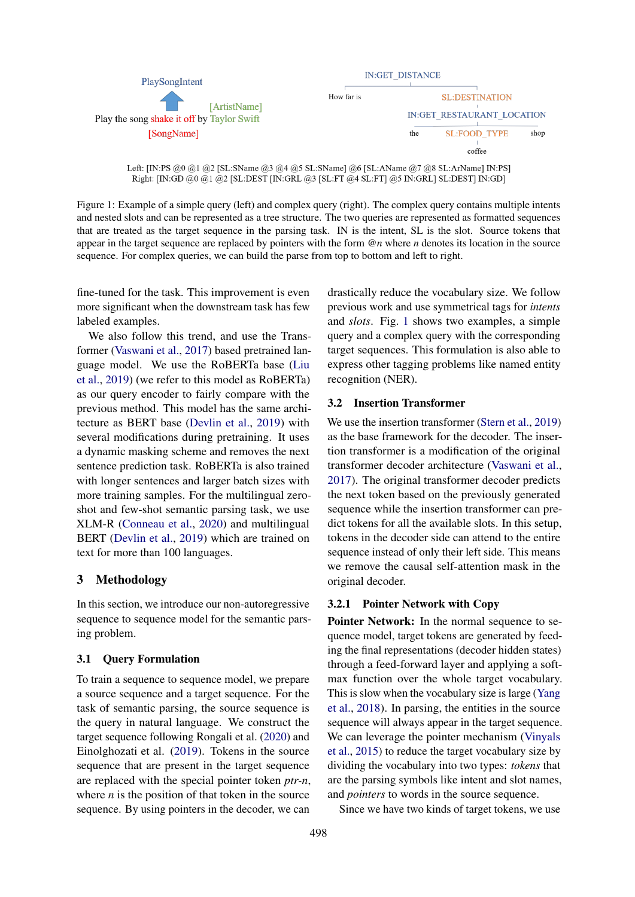<span id="page-2-0"></span>

Left: [IN:PS @0 @1 @2 [SL:SName @3 @4 @5 SL:SName] @6 [SL:AName @7 @8 SL:ArName] IN:PS] Right: [IN:GD @0 @1 @2 [SL:DEST [IN:GRL @3 [SL:FT @4 SL:FT] @5 IN:GRL] SL:DEST] IN:GD]

Figure 1: Example of a simple query (left) and complex query (right). The complex query contains multiple intents and nested slots and can be represented as a tree structure. The two queries are represented as formatted sequences that are treated as the target sequence in the parsing task. IN is the intent, SL is the slot. Source tokens that appear in the target sequence are replaced by pointers with the form *@n* where *n* denotes its location in the source sequence. For complex queries, we can build the parse from top to bottom and left to right.

fine-tuned for the task. This improvement is even more significant when the downstream task has few labeled examples.

We also follow this trend, and use the Transformer [\(Vaswani et al.,](#page-10-1) [2017\)](#page-10-1) based pretrained language model. We use the RoBERTa base [\(Liu](#page-9-9) [et al.,](#page-9-9) [2019\)](#page-9-9) (we refer to this model as RoBERTa) as our query encoder to fairly compare with the previous method. This model has the same architecture as BERT base [\(Devlin et al.,](#page-8-1) [2019\)](#page-8-1) with several modifications during pretraining. It uses a dynamic masking scheme and removes the next sentence prediction task. RoBERTa is also trained with longer sentences and larger batch sizes with more training samples. For the multilingual zeroshot and few-shot semantic parsing task, we use XLM-R [\(Conneau et al.,](#page-8-3) [2020\)](#page-8-3) and multilingual BERT [\(Devlin et al.,](#page-8-1) [2019\)](#page-8-1) which are trained on text for more than 100 languages.

# 3 Methodology

In this section, we introduce our non-autoregressive sequence to sequence model for the semantic parsing problem.

# 3.1 Query Formulation

To train a sequence to sequence model, we prepare a source sequence and a target sequence. For the task of semantic parsing, the source sequence is the query in natural language. We construct the target sequence following Rongali et al. [\(2020\)](#page-9-3) and Einolghozati et al. [\(2019\)](#page-9-2). Tokens in the source sequence that are present in the target sequence are replaced with the special pointer token *ptr-n*, where  $n$  is the position of that token in the source sequence. By using pointers in the decoder, we can

drastically reduce the vocabulary size. We follow previous work and use symmetrical tags for *intents* and *slots*. Fig. [1](#page-2-0) shows two examples, a simple query and a complex query with the corresponding target sequences. This formulation is also able to express other tagging problems like named entity recognition (NER).

# 3.2 Insertion Transformer

We use the insertion transformer [\(Stern et al.,](#page-10-2) [2019\)](#page-10-2) as the base framework for the decoder. The insertion transformer is a modification of the original transformer decoder architecture [\(Vaswani et al.,](#page-10-1) [2017\)](#page-10-1). The original transformer decoder predicts the next token based on the previously generated sequence while the insertion transformer can predict tokens for all the available slots. In this setup, tokens in the decoder side can attend to the entire sequence instead of only their left side. This means we remove the causal self-attention mask in the original decoder.

# 3.2.1 Pointer Network with Copy

Pointer Network: In the normal sequence to sequence model, target tokens are generated by feeding the final representations (decoder hidden states) through a feed-forward layer and applying a softmax function over the whole target vocabulary. This is slow when the vocabulary size is large [\(Yang](#page-10-5) [et al.,](#page-10-5) [2018\)](#page-10-5). In parsing, the entities in the source sequence will always appear in the target sequence. We can leverage the pointer mechanism [\(Vinyals](#page-10-6) [et al.,](#page-10-6) [2015\)](#page-10-6) to reduce the target vocabulary size by dividing the vocabulary into two types: *tokens* that are the parsing symbols like intent and slot names, and *pointers* to words in the source sequence.

Since we have two kinds of target tokens, we use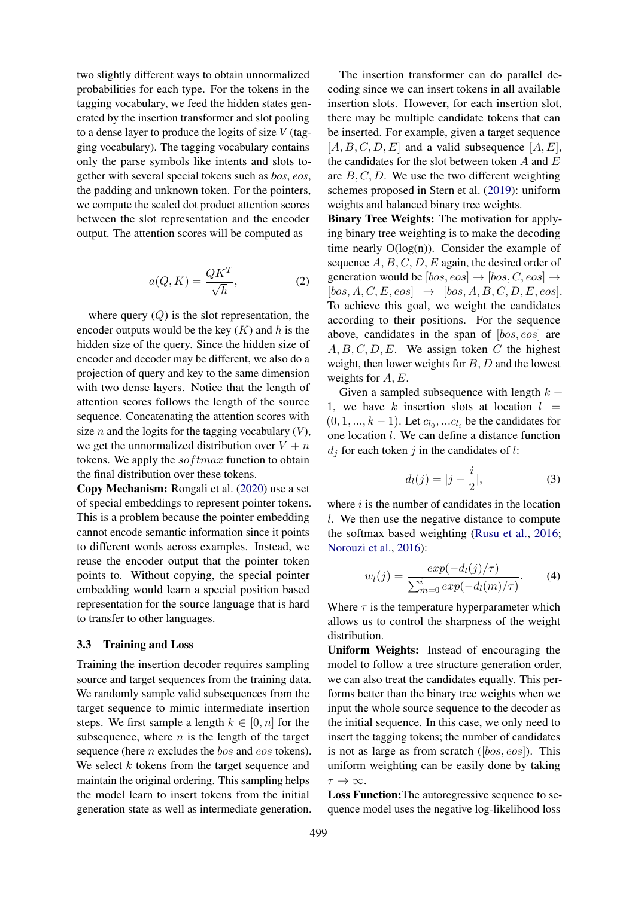two slightly different ways to obtain unnormalized probabilities for each type. For the tokens in the tagging vocabulary, we feed the hidden states generated by the insertion transformer and slot pooling to a dense layer to produce the logits of size *V* (tagging vocabulary). The tagging vocabulary contains only the parse symbols like intents and slots together with several special tokens such as *bos*, *eos*, the padding and unknown token. For the pointers, we compute the scaled dot product attention scores between the slot representation and the encoder output. The attention scores will be computed as

$$
a(Q, K) = \frac{QK^T}{\sqrt{h}},\tag{2}
$$

where query  $(Q)$  is the slot representation, the encoder outputs would be the key  $(K)$  and h is the hidden size of the query. Since the hidden size of encoder and decoder may be different, we also do a projection of query and key to the same dimension with two dense layers. Notice that the length of attention scores follows the length of the source sequence. Concatenating the attention scores with size *n* and the logits for the tagging vocabulary  $(V)$ , we get the unnormalized distribution over  $V + n$ tokens. We apply the  $softmax$  function to obtain the final distribution over these tokens.

Copy Mechanism: Rongali et al. [\(2020\)](#page-9-3) use a set of special embeddings to represent pointer tokens. This is a problem because the pointer embedding cannot encode semantic information since it points to different words across examples. Instead, we reuse the encoder output that the pointer token points to. Without copying, the special pointer embedding would learn a special position based representation for the source language that is hard to transfer to other languages.

#### 3.3 Training and Loss

Training the insertion decoder requires sampling source and target sequences from the training data. We randomly sample valid subsequences from the target sequence to mimic intermediate insertion steps. We first sample a length  $k \in [0, n]$  for the subsequence, where  $n$  is the length of the target sequence (here *n* excludes the *bos* and *eos* tokens). We select  $k$  tokens from the target sequence and maintain the original ordering. This sampling helps the model learn to insert tokens from the initial generation state as well as intermediate generation.

The insertion transformer can do parallel decoding since we can insert tokens in all available insertion slots. However, for each insertion slot, there may be multiple candidate tokens that can be inserted. For example, given a target sequence  $[A, B, C, D, E]$  and a valid subsequence  $[A, E]$ , the candidates for the slot between token  $A$  and  $E$ are  $B, C, D$ . We use the two different weighting schemes proposed in Stern et al. [\(2019\)](#page-10-2): uniform weights and balanced binary tree weights.

Binary Tree Weights: The motivation for applying binary tree weighting is to make the decoding time nearly  $O(log(n))$ . Consider the example of sequence  $A, B, C, D, E$  again, the desired order of generation would be  $[bos, eos] \rightarrow [bos, Cos] \rightarrow$  $[bos, A, C, E, eos] \rightarrow [bos, A, B, C, D, E, eos].$ To achieve this goal, we weight the candidates according to their positions. For the sequence above, candidates in the span of [bos, eos] are  $A, B, C, D, E$ . We assign token C the highest weight, then lower weights for  $B, D$  and the lowest weights for  $A, E$ .

Given a sampled subsequence with length  $k +$ 1, we have k insertion slots at location  $l =$  $(0, 1, \ldots, k-1)$ . Let  $c_{l_0}, \ldots c_{l_i}$  be the candidates for one location l. We can define a distance function  $d_i$  for each token j in the candidates of l:

$$
d_l(j) = |j - \frac{i}{2}|,\t\t(3)
$$

where  $i$  is the number of candidates in the location l. We then use the negative distance to compute the softmax based weighting [\(Rusu et al.,](#page-10-7) [2016;](#page-10-7) [Norouzi et al.,](#page-9-12) [2016\)](#page-9-12):

$$
w_l(j) = \frac{exp(-d_l(j)/\tau)}{\sum_{m=0}^i exp(-d_l(m)/\tau)}.
$$
 (4)

Where  $\tau$  is the temperature hyperparameter which allows us to control the sharpness of the weight distribution.

Uniform Weights: Instead of encouraging the model to follow a tree structure generation order, we can also treat the candidates equally. This performs better than the binary tree weights when we input the whole source sequence to the decoder as the initial sequence. In this case, we only need to insert the tagging tokens; the number of candidates is not as large as from scratch  $([bos, eos])$ . This uniform weighting can be easily done by taking  $\tau \to \infty$ .

Loss Function:The autoregressive sequence to sequence model uses the negative log-likelihood loss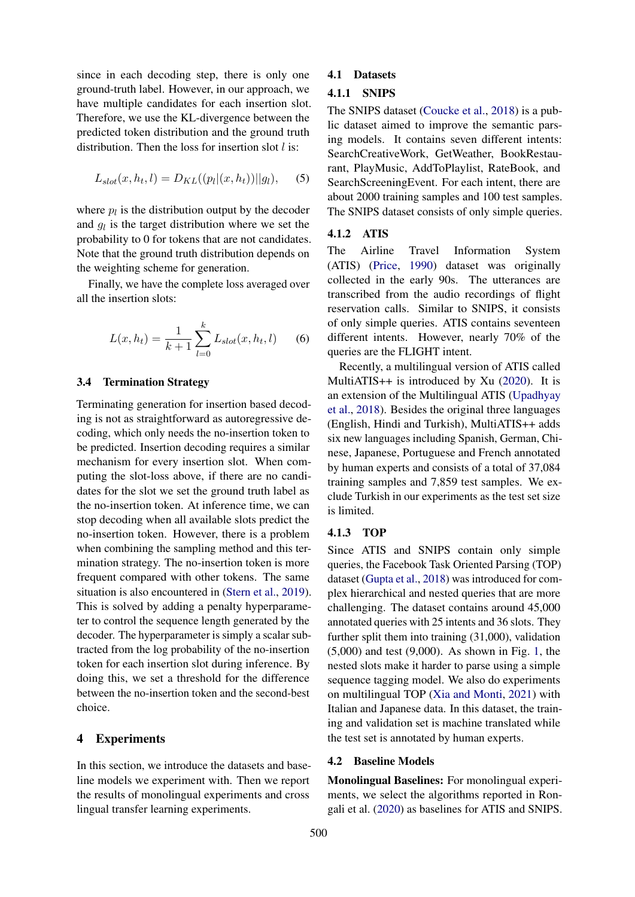since in each decoding step, there is only one ground-truth label. However, in our approach, we have multiple candidates for each insertion slot. Therefore, we use the KL-divergence between the predicted token distribution and the ground truth distribution. Then the loss for insertion slot  $l$  is:

$$
L_{slot}(x, h_t, l) = D_{KL}((p_l|(x, h_t))||g_l), \quad (5)
$$

where  $p_l$  is the distribution output by the decoder and  $g_l$  is the target distribution where we set the probability to 0 for tokens that are not candidates. Note that the ground truth distribution depends on the weighting scheme for generation.

Finally, we have the complete loss averaged over all the insertion slots:

$$
L(x, h_t) = \frac{1}{k+1} \sum_{l=0}^{k} L_{slot}(x, h_t, l)
$$
 (6)

## 3.4 Termination Strategy

Terminating generation for insertion based decoding is not as straightforward as autoregressive decoding, which only needs the no-insertion token to be predicted. Insertion decoding requires a similar mechanism for every insertion slot. When computing the slot-loss above, if there are no candidates for the slot we set the ground truth label as the no-insertion token. At inference time, we can stop decoding when all available slots predict the no-insertion token. However, there is a problem when combining the sampling method and this termination strategy. The no-insertion token is more frequent compared with other tokens. The same situation is also encountered in [\(Stern et al.,](#page-10-2) [2019\)](#page-10-2). This is solved by adding a penalty hyperparameter to control the sequence length generated by the decoder. The hyperparameter is simply a scalar subtracted from the log probability of the no-insertion token for each insertion slot during inference. By doing this, we set a threshold for the difference between the no-insertion token and the second-best choice.

# 4 Experiments

In this section, we introduce the datasets and baseline models we experiment with. Then we report the results of monolingual experiments and cross lingual transfer learning experiments.

# 4.1 Datasets

# 4.1.1 SNIPS

The SNIPS dataset [\(Coucke et al.,](#page-8-0) [2018\)](#page-8-0) is a public dataset aimed to improve the semantic parsing models. It contains seven different intents: SearchCreativeWork, GetWeather, BookRestaurant, PlayMusic, AddToPlaylist, RateBook, and SearchScreeningEvent. For each intent, there are about 2000 training samples and 100 test samples. The SNIPS dataset consists of only simple queries.

# 4.1.2 ATIS

The Airline Travel Information System (ATIS) [\(Price,](#page-9-8) [1990\)](#page-9-8) dataset was originally collected in the early 90s. The utterances are transcribed from the audio recordings of flight reservation calls. Similar to SNIPS, it consists of only simple queries. ATIS contains seventeen different intents. However, nearly 70% of the queries are the FLIGHT intent.

Recently, a multilingual version of ATIS called MultiATIS++ is introduced by Xu  $(2020)$ . It is an extension of the Multilingual ATIS [\(Upadhyay](#page-10-8) [et al.,](#page-10-8) [2018\)](#page-10-8). Besides the original three languages (English, Hindi and Turkish), MultiATIS++ adds six new languages including Spanish, German, Chinese, Japanese, Portuguese and French annotated by human experts and consists of a total of 37,084 training samples and 7,859 test samples. We exclude Turkish in our experiments as the test set size is limited.

## 4.1.3 TOP

Since ATIS and SNIPS contain only simple queries, the Facebook Task Oriented Parsing (TOP) dataset [\(Gupta et al.,](#page-9-1) [2018\)](#page-9-1) was introduced for complex hierarchical and nested queries that are more challenging. The dataset contains around 45,000 annotated queries with 25 intents and 36 slots. They further split them into training (31,000), validation (5,000) and test (9,000). As shown in Fig. [1,](#page-2-0) the nested slots make it harder to parse using a simple sequence tagging model. We also do experiments on multilingual TOP [\(Xia and Monti,](#page-10-4) [2021\)](#page-10-4) with Italian and Japanese data. In this dataset, the training and validation set is machine translated while the test set is annotated by human experts.

# 4.2 Baseline Models

Monolingual Baselines: For monolingual experiments, we select the algorithms reported in Rongali et al. [\(2020\)](#page-9-3) as baselines for ATIS and SNIPS.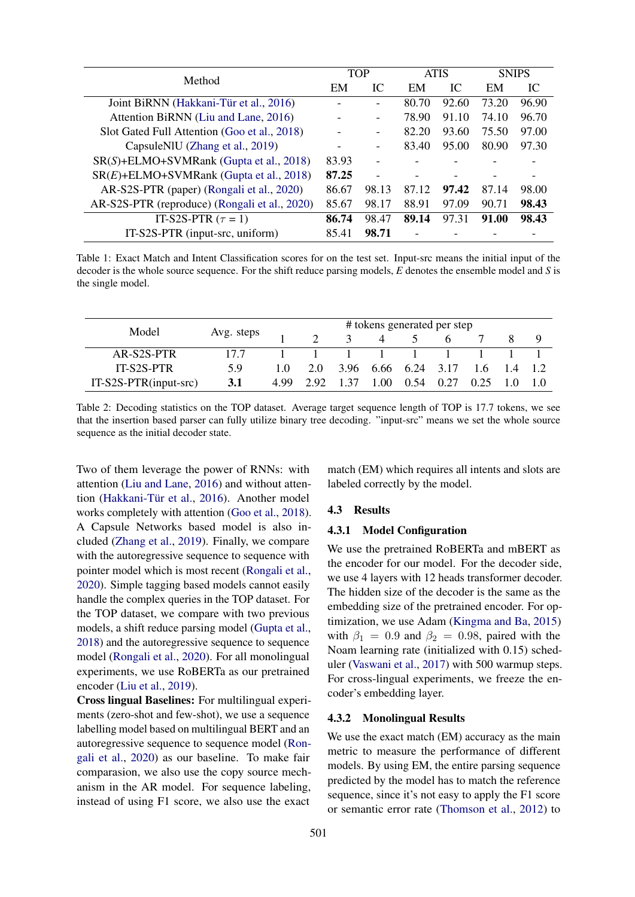<span id="page-5-0"></span>

| Method                                        |       | TOP   | <b>ATIS</b> |       | <b>SNIPS</b> |       |
|-----------------------------------------------|-------|-------|-------------|-------|--------------|-------|
|                                               | EM    | IC    | EM          | IС    | EM           | IC    |
| Joint BiRNN (Hakkani-Tür et al., 2016)        |       |       | 80.70       | 92.60 | 73.20        | 96.90 |
| Attention BiRNN (Liu and Lane, 2016)          |       |       | 78.90       | 91.10 | 74.10        | 96.70 |
| Slot Gated Full Attention (Goo et al., 2018)  |       |       | 82.20       | 93.60 | 75.50        | 97.00 |
| CapsuleNIU (Zhang et al., 2019)               |       |       | 83.40       | 95.00 | 80.90        | 97.30 |
| $SR(S)$ +ELMO+SVMRank (Gupta et al., 2018)    | 83.93 |       |             |       |              |       |
| $SR(E)$ +ELMO+SVMRank (Gupta et al., 2018)    | 87.25 |       |             |       |              |       |
| AR-S2S-PTR (paper) (Rongali et al., 2020)     | 86.67 | 98.13 | 87.12       | 97.42 | 87.14        | 98.00 |
| AR-S2S-PTR (reproduce) (Rongali et al., 2020) | 85.67 | 98.17 | 88.91       | 97.09 | 90.71        | 98.43 |
| IT-S2S-PTR $(\tau = 1)$                       | 86.74 | 98.47 | 89.14       | 97.31 | 91.00        | 98.43 |
| IT-S2S-PTR (input-src, uniform)               | 85.41 | 98.71 |             |       |              |       |

Table 1: Exact Match and Intent Classification scores for on the test set. Input-src means the initial input of the decoder is the whole source sequence. For the shift reduce parsing models, *E* denotes the ensemble model and *S* is the single model.

<span id="page-5-1"></span>

| Model                    |            | # tokens generated per step |     |      |      |      |                     |           |  |
|--------------------------|------------|-----------------------------|-----|------|------|------|---------------------|-----------|--|
|                          | Avg. steps |                             |     |      | 4    |      |                     |           |  |
| AR-S2S-PTR               | 177        |                             |     |      |      |      |                     |           |  |
| <b>IT-S2S-PTR</b>        | 59         | 1.0                         | 2.0 |      |      |      | 3.96 6.66 6.24 3.17 | $1.6$ 1.4 |  |
| $IT-S2S-PTR$ (input-src) | 3.1        | 4.99                        | 292 | 1 37 | 1.00 | 0.54 | 0.27                | 0.25      |  |

Table 2: Decoding statistics on the TOP dataset. Average target sequence length of TOP is 17.7 tokens, we see that the insertion based parser can fully utilize binary tree decoding. "input-src" means we set the whole source sequence as the initial decoder state.

Two of them leverage the power of RNNs: with attention [\(Liu and Lane,](#page-9-14) [2016\)](#page-9-14) and without atten-tion (Hakkani-Tür et al., [2016\)](#page-9-13). Another model works completely with attention [\(Goo et al.,](#page-9-15) [2018\)](#page-9-15). A Capsule Networks based model is also included [\(Zhang et al.,](#page-10-9) [2019\)](#page-10-9). Finally, we compare with the autoregressive sequence to sequence with pointer model which is most recent [\(Rongali et al.,](#page-9-3) [2020\)](#page-9-3). Simple tagging based models cannot easily handle the complex queries in the TOP dataset. For the TOP dataset, we compare with two previous models, a shift reduce parsing model [\(Gupta et al.,](#page-9-1) [2018\)](#page-9-1) and the autoregressive sequence to sequence model [\(Rongali et al.,](#page-9-3) [2020\)](#page-9-3). For all monolingual experiments, we use RoBERTa as our pretrained encoder [\(Liu et al.,](#page-9-9) [2019\)](#page-9-9).

Cross lingual Baselines: For multilingual experiments (zero-shot and few-shot), we use a sequence labelling model based on multilingual BERT and an autoregressive sequence to sequence model [\(Ron](#page-9-3)[gali et al.,](#page-9-3) [2020\)](#page-9-3) as our baseline. To make fair comparasion, we also use the copy source mechanism in the AR model. For sequence labeling, instead of using F1 score, we also use the exact

match (EM) which requires all intents and slots are labeled correctly by the model.

#### 4.3 Results

#### 4.3.1 Model Configuration

We use the pretrained RoBERTa and mBERT as the encoder for our model. For the decoder side, we use 4 layers with 12 heads transformer decoder. The hidden size of the decoder is the same as the embedding size of the pretrained encoder. For optimization, we use Adam [\(Kingma and Ba,](#page-9-16) [2015\)](#page-9-16) with  $\beta_1 = 0.9$  and  $\beta_2 = 0.98$ , paired with the Noam learning rate (initialized with 0.15) scheduler [\(Vaswani et al.,](#page-10-1) [2017\)](#page-10-1) with 500 warmup steps. For cross-lingual experiments, we freeze the encoder's embedding layer.

## 4.3.2 Monolingual Results

We use the exact match (EM) accuracy as the main metric to measure the performance of different models. By using EM, the entire parsing sequence predicted by the model has to match the reference sequence, since it's not easy to apply the F1 score or semantic error rate [\(Thomson et al.,](#page-10-10) [2012\)](#page-10-10) to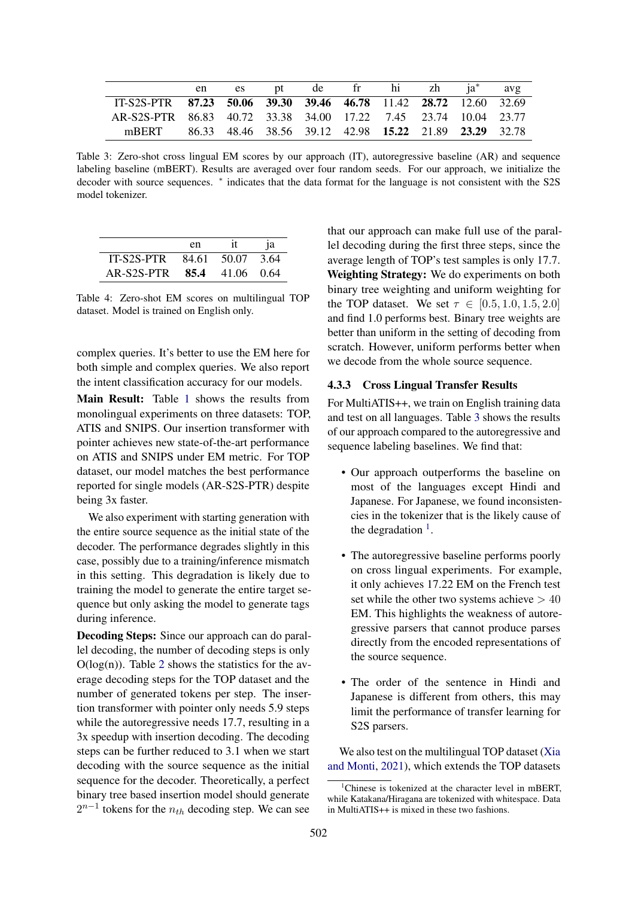<span id="page-6-0"></span>

|                                                                  | en es |  | pt de fr hi zh ja <sup>*</sup> avg |  |  |
|------------------------------------------------------------------|-------|--|------------------------------------|--|--|
| IT-S2S-PTR 87.23 50.06 39.30 39.46 46.78 11.42 28.72 12.60 32.69 |       |  |                                    |  |  |
| AR-S2S-PTR 86.83 40.72 33.38 34.00 17.22 7.45 23.74 10.04 23.77  |       |  |                                    |  |  |
| mBERT 86.33 48.46 38.56 39.12 42.98 15.22 21.89 23.29 32.78      |       |  |                                    |  |  |

Table 3: Zero-shot cross lingual EM scores by our approach (IT), autoregressive baseline (AR) and sequence labeling baseline (mBERT). Results are averaged over four random seeds. For our approach, we initialize the decoder with source sequences. \* indicates that the data format for the language is not consistent with the S2S model tokenizer.

<span id="page-6-2"></span>

|                            | en          | 1a   |
|----------------------------|-------------|------|
| IT-S2S-PTR                 | 84.61 50.07 | 3.64 |
| AR-S2S-PTR 85.4 41.06 0.64 |             |      |

Table 4: Zero-shot EM scores on multilingual TOP dataset. Model is trained on English only.

complex queries. It's better to use the EM here for both simple and complex queries. We also report the intent classification accuracy for our models.

Main Result: Table [1](#page-5-0) shows the results from monolingual experiments on three datasets: TOP, ATIS and SNIPS. Our insertion transformer with pointer achieves new state-of-the-art performance on ATIS and SNIPS under EM metric. For TOP dataset, our model matches the best performance reported for single models (AR-S2S-PTR) despite being 3x faster.

We also experiment with starting generation with the entire source sequence as the initial state of the decoder. The performance degrades slightly in this case, possibly due to a training/inference mismatch in this setting. This degradation is likely due to training the model to generate the entire target sequence but only asking the model to generate tags during inference.

Decoding Steps: Since our approach can do parallel decoding, the number of decoding steps is only  $O(log(n))$ . Table [2](#page-5-1) shows the statistics for the average decoding steps for the TOP dataset and the number of generated tokens per step. The insertion transformer with pointer only needs 5.9 steps while the autoregressive needs 17.7, resulting in a 3x speedup with insertion decoding. The decoding steps can be further reduced to 3.1 when we start decoding with the source sequence as the initial sequence for the decoder. Theoretically, a perfect binary tree based insertion model should generate  $2^{n-1}$  tokens for the  $n_{th}$  decoding step. We can see

that our approach can make full use of the parallel decoding during the first three steps, since the average length of TOP's test samples is only 17.7. Weighting Strategy: We do experiments on both binary tree weighting and uniform weighting for the TOP dataset. We set  $\tau \in [0.5, 1.0, 1.5, 2.0]$ and find 1.0 performs best. Binary tree weights are better than uniform in the setting of decoding from scratch. However, uniform performs better when we decode from the whole source sequence.

## 4.3.3 Cross Lingual Transfer Results

For MultiATIS++, we train on English training data and test on all languages. Table [3](#page-6-0) shows the results of our approach compared to the autoregressive and sequence labeling baselines. We find that:

- Our approach outperforms the baseline on most of the languages except Hindi and Japanese. For Japanese, we found inconsistencies in the tokenizer that is the likely cause of the degradation  $<sup>1</sup>$  $<sup>1</sup>$  $<sup>1</sup>$ .</sup>
- The autoregressive baseline performs poorly on cross lingual experiments. For example, it only achieves 17.22 EM on the French test set while the other two systems achieve  $> 40$ EM. This highlights the weakness of autoregressive parsers that cannot produce parses directly from the encoded representations of the source sequence.
- The order of the sentence in Hindi and Japanese is different from others, this may limit the performance of transfer learning for S2S parsers.

We also test on the multilingual TOP dataset [\(Xia](#page-10-4) [and Monti,](#page-10-4) [2021\)](#page-10-4), which extends the TOP datasets

<span id="page-6-1"></span><sup>1</sup>Chinese is tokenized at the character level in mBERT, while Katakana/Hiragana are tokenized with whitespace. Data in MultiATIS++ is mixed in these two fashions.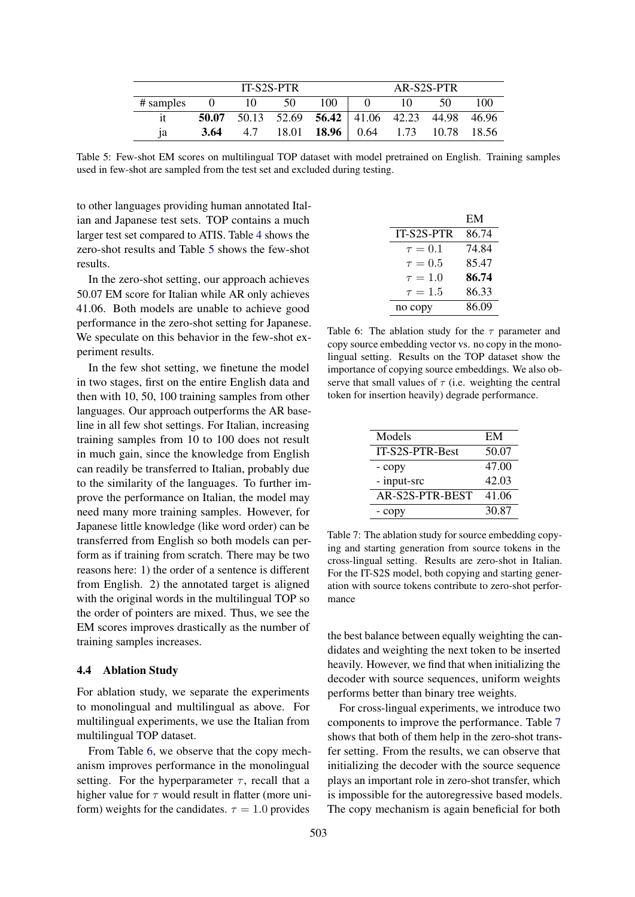<span id="page-7-0"></span>

|             | <b>IT-S2S-PTR</b> |     |  |                                                 | AR-S2S-PTR |    |     |     |
|-------------|-------------------|-----|--|-------------------------------------------------|------------|----|-----|-----|
| $#$ samples | 0 10 50           |     |  | 100                                             | $\Box$ 0   | 10 | -50 | 100 |
|             |                   |     |  | 50.07 50.13 52.69 56.42 41.06 42.23 44.98 46.96 |            |    |     |     |
| 1a          | 3.64              | 4.7 |  | 18.01 <b>18.96</b> 0.64 1.73 10.78 18.56        |            |    |     |     |

Table 5: Few-shot EM scores on multilingual TOP dataset with model pretrained on English. Training samples used in few-shot are sampled from the test set and excluded during testing.

to other languages providing human annotated Italian and Japanese test sets. TOP contains a much larger test set compared to ATIS. Table [4](#page-6-2) shows the zero-shot results and Table [5](#page-7-0) shows the few-shot results.

In the zero-shot setting, our approach achieves 50.07 EM score for Italian while AR only achieves 41.06. Both models are unable to achieve good performance in the zero-shot setting for Japanese. We speculate on this behavior in the few-shot experiment results.

In the few shot setting, we finetune the model in two stages, first on the entire English data and then with 10, 50, 100 training samples from other languages. Our approach outperforms the AR baseline in all few shot settings. For Italian, increasing training samples from 10 to 100 does not result in much gain, since the knowledge from English can readily be transferred to Italian, probably due to the similarity of the languages. To further improve the performance on Italian, the model may need many more training samples. However, for Japanese little knowledge (like word order) can be transferred from English so both models can perform as if training from scratch. There may be two reasons here: 1) the order of a sentence is different from English. 2) the annotated target is aligned with the original words in the multilingual TOP so the order of pointers are mixed. Thus, we see the EM scores improves drastically as the number of training samples increases.

#### 4.4 Ablation Study

For ablation study, we separate the experiments to monolingual and multilingual as above. For multilingual experiments, we use the Italian from multilingual TOP dataset.

From Table [6,](#page-7-1) we observe that the copy mechanism improves performance in the monolingual setting. For the hyperparameter  $\tau$ , recall that a higher value for  $\tau$  would result in flatter (more uniform) weights for the candidates.  $\tau = 1.0$  provides

<span id="page-7-1"></span>

|              | EM    |
|--------------|-------|
| IT-S2S-PTR   | 86.74 |
| $\tau=0.1$   | 74.84 |
| $\tau = 0.5$ | 85.47 |
| $\tau = 1.0$ | 86.74 |
| $\tau=1.5$   | 86.33 |
| no copy      | 86.09 |

Table 6: The ablation study for the  $\tau$  parameter and copy source embedding vector vs. no copy in the monolingual setting. Results on the TOP dataset show the importance of copying source embeddings. We also observe that small values of  $\tau$  (i.e. weighting the central token for insertion heavily) degrade performance.

<span id="page-7-2"></span>

| Models          | EM    |
|-----------------|-------|
| IT-S2S-PTR-Best | 50.07 |
| - copy          | 47.00 |
| - input-src     | 42.03 |
| AR-S2S-PTR-BEST | 41.06 |
| - copy          | 30.87 |

Table 7: The ablation study for source embedding copying and starting generation from source tokens in the cross-lingual setting. Results are zero-shot in Italian. For the IT-S2S model, both copying and starting generation with source tokens contribute to zero-shot performance

the best balance between equally weighting the candidates and weighting the next token to be inserted heavily. However, we find that when initializing the decoder with source sequences, uniform weights performs better than binary tree weights.

For cross-lingual experiments, we introduce two components to improve the performance. Table [7](#page-7-2) shows that both of them help in the zero-shot transfer setting. From the results, we can observe that initializing the decoder with the source sequence plays an important role in zero-shot transfer, which is impossible for the autoregressive based models. The copy mechanism is again beneficial for both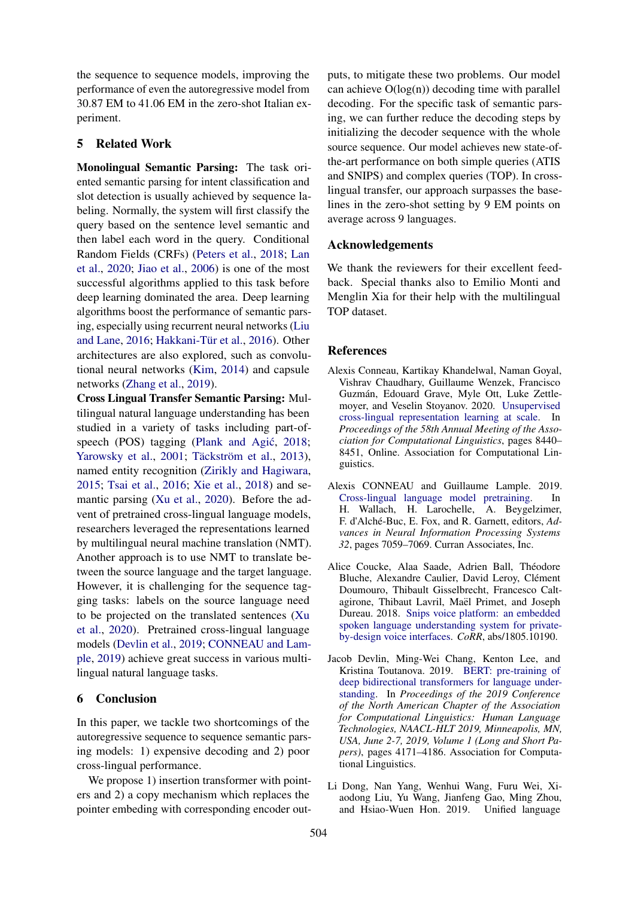the sequence to sequence models, improving the performance of even the autoregressive model from 30.87 EM to 41.06 EM in the zero-shot Italian experiment.

# 5 Related Work

Monolingual Semantic Parsing: The task oriented semantic parsing for intent classification and slot detection is usually achieved by sequence labeling. Normally, the system will first classify the query based on the sentence level semantic and then label each word in the query. Conditional Random Fields (CRFs) [\(Peters et al.,](#page-9-11) [2018;](#page-9-11) [Lan](#page-9-10) [et al.,](#page-9-10) [2020;](#page-9-10) [Jiao et al.,](#page-9-17) [2006\)](#page-9-17) is one of the most successful algorithms applied to this task before deep learning dominated the area. Deep learning algorithms boost the performance of semantic parsing, especially using recurrent neural networks [\(Liu](#page-9-14) [and Lane,](#page-9-14) [2016;](#page-9-14) Hakkani-Tür et al., [2016\)](#page-9-13). Other architectures are also explored, such as convolutional neural networks [\(Kim,](#page-9-18) [2014\)](#page-9-18) and capsule networks [\(Zhang et al.,](#page-10-9) [2019\)](#page-10-9).

Cross Lingual Transfer Semantic Parsing: Multilingual natural language understanding has been studied in a variety of tasks including part-of-speech (POS) tagging (Plank and Agić, [2018;](#page-9-19) [Yarowsky et al.,](#page-10-11) [2001;](#page-10-11) Täckström et al., [2013\)](#page-10-12), named entity recognition [\(Zirikly and Hagiwara,](#page-10-13) [2015;](#page-10-13) [Tsai et al.,](#page-10-14) [2016;](#page-10-14) [Xie et al.,](#page-10-15) [2018\)](#page-10-15) and semantic parsing [\(Xu et al.,](#page-10-3) [2020\)](#page-10-3). Before the advent of pretrained cross-lingual language models, researchers leveraged the representations learned by multilingual neural machine translation (NMT). Another approach is to use NMT to translate between the source language and the target language. However, it is challenging for the sequence tagging tasks: labels on the source language need to be projected on the translated sentences [\(Xu](#page-10-3) [et al.,](#page-10-3) [2020\)](#page-10-3). Pretrained cross-lingual language models [\(Devlin et al.,](#page-8-1) [2019;](#page-8-1) [CONNEAU and Lam](#page-8-4)[ple,](#page-8-4) [2019\)](#page-8-4) achieve great success in various multilingual natural language tasks.

# 6 Conclusion

In this paper, we tackle two shortcomings of the autoregressive sequence to sequence semantic parsing models: 1) expensive decoding and 2) poor cross-lingual performance.

We propose 1) insertion transformer with pointers and 2) a copy mechanism which replaces the pointer embeding with corresponding encoder outputs, to mitigate these two problems. Our model can achieve  $O(log(n))$  decoding time with parallel decoding. For the specific task of semantic parsing, we can further reduce the decoding steps by initializing the decoder sequence with the whole source sequence. Our model achieves new state-ofthe-art performance on both simple queries (ATIS and SNIPS) and complex queries (TOP). In crosslingual transfer, our approach surpasses the baselines in the zero-shot setting by 9 EM points on average across 9 languages.

## Acknowledgements

We thank the reviewers for their excellent feedback. Special thanks also to Emilio Monti and Menglin Xia for their help with the multilingual TOP dataset.

## **References**

- <span id="page-8-3"></span>Alexis Conneau, Kartikay Khandelwal, Naman Goyal, Vishrav Chaudhary, Guillaume Wenzek, Francisco Guzman, Edouard Grave, Myle Ott, Luke Zettle- ´ moyer, and Veselin Stoyanov. 2020. [Unsupervised](https://doi.org/10.18653/v1/2020.acl-main.747) [cross-lingual representation learning at scale.](https://doi.org/10.18653/v1/2020.acl-main.747) In *Proceedings of the 58th Annual Meeting of the Association for Computational Linguistics*, pages 8440– 8451, Online. Association for Computational Linguistics.
- <span id="page-8-4"></span>Alexis CONNEAU and Guillaume Lample. 2019. [Cross-lingual language model pretraining.](http://papers.nips.cc/paper/8928-cross-lingual-language-model-pretraining.pdf) In H. Wallach, H. Larochelle, A. Beygelzimer, F. d'Alché-Buc, E. Fox, and R. Garnett, editors, Ad*vances in Neural Information Processing Systems 32*, pages 7059–7069. Curran Associates, Inc.
- <span id="page-8-0"></span>Alice Coucke, Alaa Saade, Adrien Ball, Théodore Bluche, Alexandre Caulier, David Leroy, Clément Doumouro, Thibault Gisselbrecht, Francesco Caltagirone, Thibaut Lavril, Maël Primet, and Joseph Dureau. 2018. [Snips voice platform: an embedded](http://arxiv.org/abs/1805.10190) [spoken language understanding system for private](http://arxiv.org/abs/1805.10190)[by-design voice interfaces.](http://arxiv.org/abs/1805.10190) *CoRR*, abs/1805.10190.
- <span id="page-8-1"></span>Jacob Devlin, Ming-Wei Chang, Kenton Lee, and Kristina Toutanova. 2019. [BERT: pre-training of](https://doi.org/10.18653/v1/n19-1423) [deep bidirectional transformers for language under](https://doi.org/10.18653/v1/n19-1423)[standing.](https://doi.org/10.18653/v1/n19-1423) In *Proceedings of the 2019 Conference of the North American Chapter of the Association for Computational Linguistics: Human Language Technologies, NAACL-HLT 2019, Minneapolis, MN, USA, June 2-7, 2019, Volume 1 (Long and Short Papers)*, pages 4171–4186. Association for Computational Linguistics.
- <span id="page-8-2"></span>Li Dong, Nan Yang, Wenhui Wang, Furu Wei, Xiaodong Liu, Yu Wang, Jianfeng Gao, Ming Zhou, and Hsiao-Wuen Hon. 2019. Unified language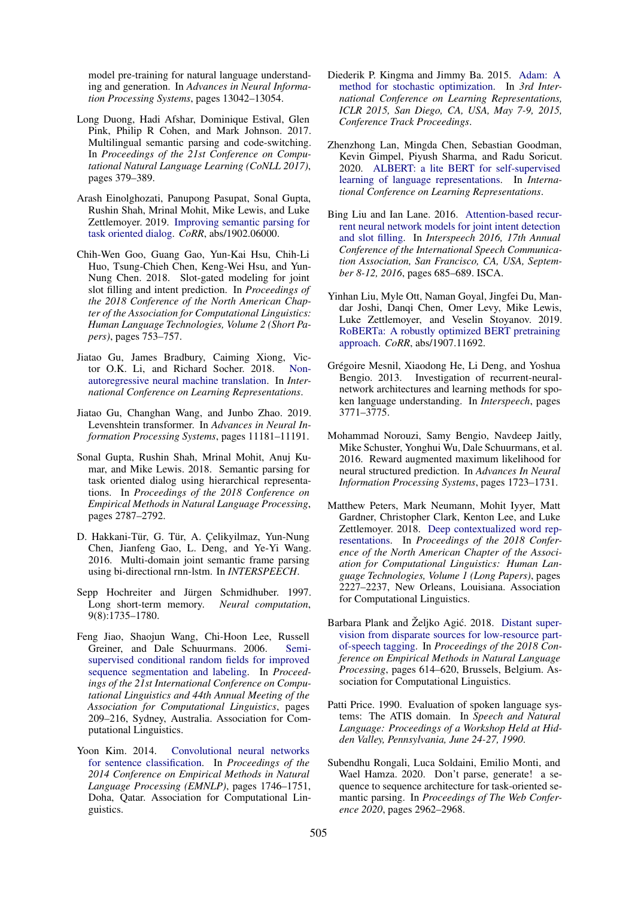model pre-training for natural language understanding and generation. In *Advances in Neural Information Processing Systems*, pages 13042–13054.

- <span id="page-9-4"></span>Long Duong, Hadi Afshar, Dominique Estival, Glen Pink, Philip R Cohen, and Mark Johnson. 2017. Multilingual semantic parsing and code-switching. In *Proceedings of the 21st Conference on Computational Natural Language Learning (CoNLL 2017)*, pages 379–389.
- <span id="page-9-2"></span>Arash Einolghozati, Panupong Pasupat, Sonal Gupta, Rushin Shah, Mrinal Mohit, Mike Lewis, and Luke Zettlemoyer. 2019. [Improving semantic parsing for](http://arxiv.org/abs/1902.06000) [task oriented dialog.](http://arxiv.org/abs/1902.06000) *CoRR*, abs/1902.06000.
- <span id="page-9-15"></span>Chih-Wen Goo, Guang Gao, Yun-Kai Hsu, Chih-Li Huo, Tsung-Chieh Chen, Keng-Wei Hsu, and Yun-Nung Chen. 2018. Slot-gated modeling for joint slot filling and intent prediction. In *Proceedings of the 2018 Conference of the North American Chapter of the Association for Computational Linguistics: Human Language Technologies, Volume 2 (Short Papers)*, pages 753–757.
- <span id="page-9-6"></span>Jiatao Gu, James Bradbury, Caiming Xiong, Victor O.K. Li, and Richard Socher. 2018. [Non](https://openreview.net/forum?id=B1l8BtlCb)[autoregressive neural machine translation.](https://openreview.net/forum?id=B1l8BtlCb) In *International Conference on Learning Representations*.
- <span id="page-9-7"></span>Jiatao Gu, Changhan Wang, and Junbo Zhao. 2019. Levenshtein transformer. In *Advances in Neural Information Processing Systems*, pages 11181–11191.
- <span id="page-9-1"></span>Sonal Gupta, Rushin Shah, Mrinal Mohit, Anuj Kumar, and Mike Lewis. 2018. Semantic parsing for task oriented dialog using hierarchical representations. In *Proceedings of the 2018 Conference on Empirical Methods in Natural Language Processing*, pages 2787–2792.
- <span id="page-9-13"></span>D. Hakkani-Tür, G. Tür, A. Çelikyilmaz, Yun-Nung Chen, Jianfeng Gao, L. Deng, and Ye-Yi Wang. 2016. Multi-domain joint semantic frame parsing using bi-directional rnn-lstm. In *INTERSPEECH*.
- <span id="page-9-5"></span>Sepp Hochreiter and Jürgen Schmidhuber. 1997. Long short-term memory. *Neural computation*, 9(8):1735–1780.
- <span id="page-9-17"></span>Feng Jiao, Shaojun Wang, Chi-Hoon Lee, Russell Greiner, and Dale Schuurmans. 2006. [Semi](https://doi.org/10.3115/1220175.1220202)[supervised conditional random fields for improved](https://doi.org/10.3115/1220175.1220202) [sequence segmentation and labeling.](https://doi.org/10.3115/1220175.1220202) In *Proceedings of the 21st International Conference on Computational Linguistics and 44th Annual Meeting of the Association for Computational Linguistics*, pages 209–216, Sydney, Australia. Association for Computational Linguistics.
- <span id="page-9-18"></span>Yoon Kim. 2014. [Convolutional neural networks](https://doi.org/10.3115/v1/D14-1181) [for sentence classification.](https://doi.org/10.3115/v1/D14-1181) In *Proceedings of the 2014 Conference on Empirical Methods in Natural Language Processing (EMNLP)*, pages 1746–1751, Doha, Qatar. Association for Computational Linguistics.
- <span id="page-9-16"></span>Diederik P. Kingma and Jimmy Ba. 2015. [Adam: A](http://arxiv.org/abs/1412.6980) [method for stochastic optimization.](http://arxiv.org/abs/1412.6980) In *3rd International Conference on Learning Representations, ICLR 2015, San Diego, CA, USA, May 7-9, 2015, Conference Track Proceedings*.
- <span id="page-9-10"></span>Zhenzhong Lan, Mingda Chen, Sebastian Goodman, Kevin Gimpel, Piyush Sharma, and Radu Soricut. 2020. [ALBERT: a lite BERT for self-supervised](https://openreview.net/forum?id=H1eA7AEtvS) [learning of language representations.](https://openreview.net/forum?id=H1eA7AEtvS) In *International Conference on Learning Representations*.
- <span id="page-9-14"></span>Bing Liu and Ian Lane. 2016. [Attention-based recur](https://doi.org/10.21437/Interspeech.2016-1352)[rent neural network models for joint intent detection](https://doi.org/10.21437/Interspeech.2016-1352) [and slot filling.](https://doi.org/10.21437/Interspeech.2016-1352) In *Interspeech 2016, 17th Annual Conference of the International Speech Communication Association, San Francisco, CA, USA, September 8-12, 2016*, pages 685–689. ISCA.
- <span id="page-9-9"></span>Yinhan Liu, Myle Ott, Naman Goyal, Jingfei Du, Mandar Joshi, Danqi Chen, Omer Levy, Mike Lewis, Luke Zettlemoyer, and Veselin Stoyanov. 2019. [RoBERTa: A robustly optimized BERT pretraining](http://arxiv.org/abs/1907.11692) [approach.](http://arxiv.org/abs/1907.11692) *CoRR*, abs/1907.11692.
- <span id="page-9-0"></span>Grégoire Mesnil, Xiaodong He, Li Deng, and Yoshua Bengio. 2013. Investigation of recurrent-neuralnetwork architectures and learning methods for spoken language understanding. In *Interspeech*, pages 3771–3775.
- <span id="page-9-12"></span>Mohammad Norouzi, Samy Bengio, Navdeep Jaitly, Mike Schuster, Yonghui Wu, Dale Schuurmans, et al. 2016. Reward augmented maximum likelihood for neural structured prediction. In *Advances In Neural Information Processing Systems*, pages 1723–1731.
- <span id="page-9-11"></span>Matthew Peters, Mark Neumann, Mohit Iyyer, Matt Gardner, Christopher Clark, Kenton Lee, and Luke Zettlemoyer. 2018. [Deep contextualized word rep](https://doi.org/10.18653/v1/N18-1202)[resentations.](https://doi.org/10.18653/v1/N18-1202) In *Proceedings of the 2018 Conference of the North American Chapter of the Association for Computational Linguistics: Human Language Technologies, Volume 1 (Long Papers)*, pages 2227–2237, New Orleans, Louisiana. Association for Computational Linguistics.
- <span id="page-9-19"></span>Barbara Plank and Željko Agić. 2018. [Distant super](https://doi.org/10.18653/v1/D18-1061)[vision from disparate sources for low-resource part](https://doi.org/10.18653/v1/D18-1061)[of-speech tagging.](https://doi.org/10.18653/v1/D18-1061) In *Proceedings of the 2018 Conference on Empirical Methods in Natural Language Processing*, pages 614–620, Brussels, Belgium. Association for Computational Linguistics.
- <span id="page-9-8"></span>Patti Price. 1990. Evaluation of spoken language systems: The ATIS domain. In *Speech and Natural Language: Proceedings of a Workshop Held at Hidden Valley, Pennsylvania, June 24-27, 1990*.
- <span id="page-9-3"></span>Subendhu Rongali, Luca Soldaini, Emilio Monti, and Wael Hamza. 2020. Don't parse, generate! a sequence to sequence architecture for task-oriented semantic parsing. In *Proceedings of The Web Conference 2020*, pages 2962–2968.